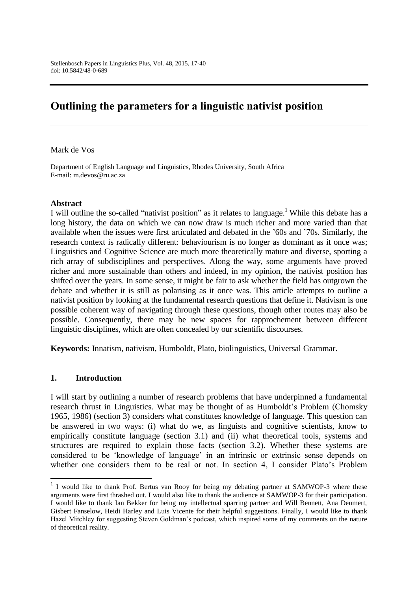# **Outlining the parameters for a linguistic nativist position**

Mark de Vos

Department of English Language and Linguistics, Rhodes University, South Africa E-mail: m.devos@ru.ac.za

#### **Abstract**

I will outline the so-called "nativist position" as it relates to language.<sup>1</sup> While this debate has a long history, the data on which we can now draw is much richer and more varied than that available when the issues were first articulated and debated in the "60s and "70s. Similarly, the research context is radically different: behaviourism is no longer as dominant as it once was; Linguistics and Cognitive Science are much more theoretically mature and diverse, sporting a rich array of subdisciplines and perspectives. Along the way, some arguments have proved richer and more sustainable than others and indeed, in my opinion, the nativist position has shifted over the years. In some sense, it might be fair to ask whether the field has outgrown the debate and whether it is still as polarising as it once was. This article attempts to outline a nativist position by looking at the fundamental research questions that define it. Nativism is one possible coherent way of navigating through these questions, though other routes may also be possible. Consequently, there may be new spaces for rapprochement between different linguistic disciplines, which are often concealed by our scientific discourses.

**Keywords:** Innatism, nativism, Humboldt, Plato, biolinguistics, Universal Grammar.

#### **1. Introduction**

 $\overline{a}$ 

I will start by outlining a number of research problems that have underpinned a fundamental research thrust in Linguistics. What may be thought of as Humboldt's Problem (Chomsky 1965, 1986) (section 3) considers what constitutes knowledge of language. This question can be answered in two ways: (i) what do we, as linguists and cognitive scientists, know to empirically constitute language (section 3.1) and (ii) what theoretical tools, systems and structures are required to explain those facts (section 3.2). Whether these systems are considered to be "knowledge of language" in an intrinsic or extrinsic sense depends on whether one considers them to be real or not. In section 4, I consider Plato"s Problem

<sup>&</sup>lt;sup>1</sup> I would like to thank Prof. Bertus van Rooy for being my debating partner at SAMWOP-3 where these arguments were first thrashed out. I would also like to thank the audience at SAMWOP-3 for their participation. I would like to thank Ian Bekker for being my intellectual sparring partner and Will Bennett, Ana Deumert, Gisbert Fanselow, Heidi Harley and Luis Vicente for their helpful suggestions. Finally, I would like to thank Hazel Mitchley for suggesting Steven Goldman"s podcast, which inspired some of my comments on the nature of theoretical reality.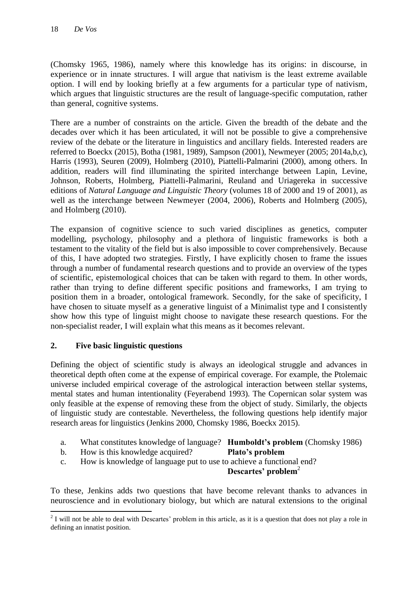(Chomsky 1965, 1986), namely where this knowledge has its origins: in discourse, in experience or in innate structures. I will argue that nativism is the least extreme available option. I will end by looking briefly at a few arguments for a particular type of nativism, which argues that linguistic structures are the result of language-specific computation, rather than general, cognitive systems.

There are a number of constraints on the article. Given the breadth of the debate and the decades over which it has been articulated, it will not be possible to give a comprehensive review of the debate or the literature in linguistics and ancillary fields. Interested readers are referred to Boeckx (2015), Botha (1981, 1989), Sampson (2001), Newmeyer (2005; 2014a,b,c), Harris (1993), Seuren (2009), Holmberg (2010), Piattelli-Palmarini (2000), among others. In addition, readers will find illuminating the spirited interchange between Lapin, Levine, Johnson, Roberts, Holmberg, Piattelli-Palmarini, Reuland and Uriagereka in successive editions of *Natural Language and Linguistic Theory* (volumes 18 of 2000 and 19 of 2001), as well as the interchange between Newmeyer (2004, 2006), Roberts and Holmberg (2005), and Holmberg (2010).

The expansion of cognitive science to such varied disciplines as genetics, computer modelling, psychology, philosophy and a plethora of linguistic frameworks is both a testament to the vitality of the field but is also impossible to cover comprehensively. Because of this, I have adopted two strategies. Firstly, I have explicitly chosen to frame the issues through a number of fundamental research questions and to provide an overview of the types of scientific, epistemological choices that can be taken with regard to them. In other words, rather than trying to define different specific positions and frameworks, I am trying to position them in a broader, ontological framework. Secondly, for the sake of specificity, I have chosen to situate myself as a generative linguist of a Minimalist type and I consistently show how this type of linguist might choose to navigate these research questions. For the non-specialist reader, I will explain what this means as it becomes relevant.

## **2. Five basic linguistic questions**

Defining the object of scientific study is always an ideological struggle and advances in theoretical depth often come at the expense of empirical coverage. For example, the Ptolemaic universe included empirical coverage of the astrological interaction between stellar systems, mental states and human intentionality (Feyerabend 1993). The Copernican solar system was only feasible at the expense of removing these from the object of study. Similarly, the objects of linguistic study are contestable. Nevertheless, the following questions help identify major research areas for linguistics (Jenkins 2000, Chomsky 1986, Boeckx 2015).

- a. What constitutes knowledge of language? **Humboldt's problem** (Chomsky 1986)
- b. How is this knowledge acquired? **Plato's problem**
- c. How is knowledge of language put to use to achieve a functional end?

#### **Descartes' problem**<sup>2</sup>

To these, Jenkins adds two questions that have become relevant thanks to advances in neuroscience and in evolutionary biology, but which are natural extensions to the original

 $\frac{1}{2}$  I will not be able to deal with Descartes' problem in this article, as it is a question that does not play a role in defining an innatist position.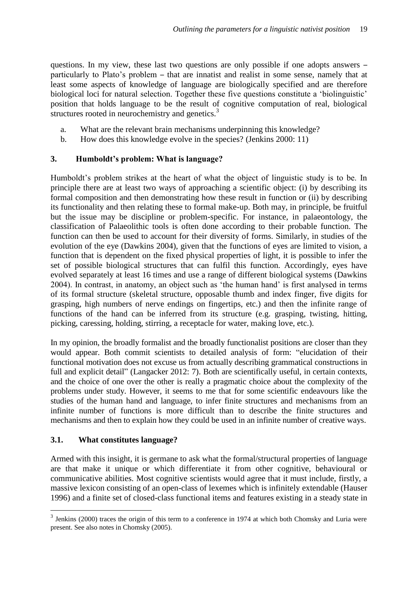questions. In my view, these last two questions are only possible if one adopts answers – particularly to Plato"s problem – that are innatist and realist in some sense, namely that at least some aspects of knowledge of language are biologically specified and are therefore biological loci for natural selection. Together these five questions constitute a 'biolinguistic' position that holds language to be the result of cognitive computation of real, biological structures rooted in neurochemistry and genetics.<sup>3</sup>

- a. What are the relevant brain mechanisms underpinning this knowledge?
- b. How does this knowledge evolve in the species? (Jenkins 2000: 11)

## **3. Humboldt's problem: What is language?**

Humboldt"s problem strikes at the heart of what the object of linguistic study is to be. In principle there are at least two ways of approaching a scientific object: (i) by describing its formal composition and then demonstrating how these result in function or (ii) by describing its functionality and then relating these to formal make-up. Both may, in principle, be fruitful but the issue may be discipline or problem-specific. For instance, in palaeontology, the classification of Palaeolithic tools is often done according to their probable function. The function can then be used to account for their diversity of forms. Similarly, in studies of the evolution of the eye (Dawkins 2004), given that the functions of eyes are limited to vision, a function that is dependent on the fixed physical properties of light, it is possible to infer the set of possible biological structures that can fulfil this function. Accordingly, eyes have evolved separately at least 16 times and use a range of different biological systems (Dawkins 2004). In contrast, in anatomy, an object such as "the human hand" is first analysed in terms of its formal structure (skeletal structure, opposable thumb and index finger, five digits for grasping, high numbers of nerve endings on fingertips, etc.) and then the infinite range of functions of the hand can be inferred from its structure (e.g. grasping, twisting, hitting, picking, caressing, holding, stirring, a receptacle for water, making love, etc.).

In my opinion, the broadly formalist and the broadly functionalist positions are closer than they would appear. Both commit scientists to detailed analysis of form: "elucidation of their functional motivation does not excuse us from actually describing grammatical constructions in full and explicit detail" (Langacker 2012: 7). Both are scientifically useful, in certain contexts, and the choice of one over the other is really a pragmatic choice about the complexity of the problems under study. However, it seems to me that for some scientific endeavours like the studies of the human hand and language, to infer finite structures and mechanisms from an infinite number of functions is more difficult than to describe the finite structures and mechanisms and then to explain how they could be used in an infinite number of creative ways.

## **3.1. What constitutes language?**

1

Armed with this insight, it is germane to ask what the formal/structural properties of language are that make it unique or which differentiate it from other cognitive, behavioural or communicative abilities. Most cognitive scientists would agree that it must include, firstly, a massive lexicon consisting of an open-class of lexemes which is infinitely extendable (Hauser 1996) and a finite set of closed-class functional items and features existing in a steady state in

 $3$  Jenkins (2000) traces the origin of this term to a conference in 1974 at which both Chomsky and Luria were present. See also notes in Chomsky (2005).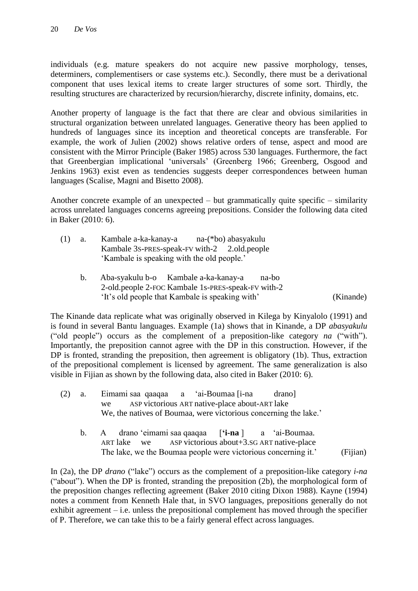individuals (e.g. mature speakers do not acquire new passive morphology, tenses, determiners, complementisers or case systems etc.). Secondly, there must be a derivational component that uses lexical items to create larger structures of some sort. Thirdly, the resulting structures are characterized by recursion/hierarchy, discrete infinity, domains, etc.

Another property of language is the fact that there are clear and obvious similarities in structural organization between unrelated languages. Generative theory has been applied to hundreds of languages since its inception and theoretical concepts are transferable. For example, the work of Julien (2002) shows relative orders of tense, aspect and mood are consistent with the Mirror Principle (Baker 1985) across 530 languages. Furthermore, the fact that Greenbergian implicational "universals" (Greenberg 1966; Greenberg, Osgood and Jenkins 1963) exist even as tendencies suggests deeper correspondences between human languages (Scalise, Magni and Bisetto 2008).

Another concrete example of an unexpected – but grammatically quite specific – similarity across unrelated languages concerns agreeing prepositions. Consider the following data cited in Baker (2010: 6).

| (1) | а. | Kambale a-ka-kanay-a                         |  | na-(*bo) abasyakulu |
|-----|----|----------------------------------------------|--|---------------------|
|     |    | Kambale 3s-PRES-speak-FV with-2 2.old.people |  |                     |
|     |    | 'Kambale is speaking with the old people.'   |  |                     |

b. Aba-syakulu b-o Kambale a-ka-kanay-a na-bo 2-old.people 2-FOC Kambale 1s-PRES-speak-FV with-2 "It"s old people that Kambale is speaking with" (Kinande)

The Kinande data replicate what was originally observed in Kilega by Kinyalolo (1991) and is found in several Bantu languages. Example (1a) shows that in Kinande, a DP *abasyakulu*  ("old people") occurs as the complement of a preposition-like category *na* ("with"). Importantly, the preposition cannot agree with the DP in this construction. However, if the DP is fronted, stranding the preposition, then agreement is obligatory (1b). Thus, extraction of the prepositional complement is licensed by agreement. The same generalization is also visible in Fijian as shown by the following data, also cited in Baker (2010: 6).

- (2) a. Eimami saa qaaqaa a "ai-Boumaa [i-na drano] ASP victorious ART native-place about-ART lake We, the natives of Boumaa, were victorious concerning the lake.'
	- b. A drano "eimami saa qaaqaa [**'i-na** ] a "ai-Boumaa. ART lake we ASP victorious about+3.SG ART native-place The lake, we the Boumaa people were victorious concerning it.' (Fijian)

In (2a), the DP *drano* ("lake") occurs as the complement of a preposition-like category *i-na* ("about"). When the DP is fronted, stranding the preposition (2b), the morphological form of the preposition changes reflecting agreement (Baker 2010 citing Dixon 1988). Kayne (1994) notes a comment from Kenneth Hale that, in SVO languages, prepositions generally do not exhibit agreement – i.e. unless the prepositional complement has moved through the specifier of P. Therefore, we can take this to be a fairly general effect across languages.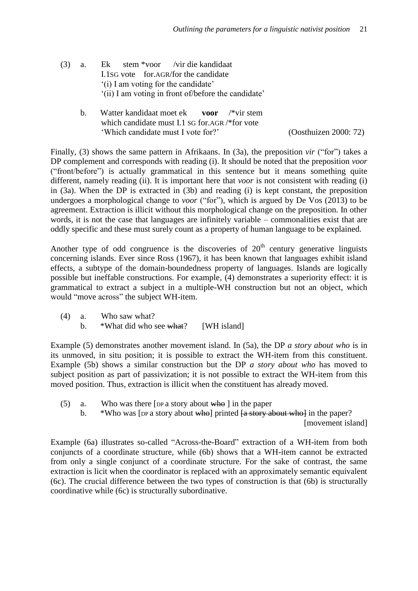- (3) a. Ek stem \*voor /vir die kandidaat I.1SG vote for.AGR/for the candidate (i) I am voting for the candidate' "(ii) I am voting in front of/before the candidate"
	- b. Watter kandidaat moet ek **voor** /\*vir stem which candidate must I.1 SG for.AGR /\*for vote "Which candidate must I vote for?" (Oosthuizen 2000: 72)

Finally, (3) shows the same pattern in Afrikaans. In (3a), the preposition *vir* ("for") takes a DP complement and corresponds with reading (i). It should be noted that the preposition *voor*  ("front/before") is actually grammatical in this sentence but it means something quite different, namely reading (ii). It is important here that *voor* is not consistent with reading (i) in (3a). When the DP is extracted in (3b) and reading (i) is kept constant, the preposition undergoes a morphological change to *voor* ("for"), which is argued by De Vos (2013) to be agreement. Extraction is illicit without this morphological change on the preposition. In other words, it is not the case that languages are infinitely variable – commonalities exist that are oddly specific and these must surely count as a property of human language to be explained.

Another type of odd congruence is the discoveries of  $20<sup>th</sup>$  century generative linguists concerning islands. Ever since Ross (1967), it has been known that languages exhibit island effects, a subtype of the domain-boundedness property of languages. Islands are logically possible but ineffable constructions. For example, (4) demonstrates a superiority effect: it is grammatical to extract a subject in a multiple-WH construction but not an object, which would "move across" the subject WH-item.

- (4) a. Who saw what?
	- b. \*What did who see what? [WH island]

Example (5) demonstrates another movement island. In (5a), the DP *a story about who* is in its unmoved, in situ position; it is possible to extract the WH-item from this constituent. Example (5b) shows a similar construction but the DP *a story about who* has moved to subject position as part of passivization; it is not possible to extract the WH-item from this moved position. Thus, extraction is illicit when the constituent has already moved.

- (5) a. Who was there [DP a story about  $\frac{1}{2}$  in the paper
	- b.  $*$ Who was [DP a story about who] printed  $\frac{1}{4}$  story about who] in the paper? [movement island]

Example (6a) illustrates so-called "Across-the-Board" extraction of a WH-item from both conjuncts of a coordinate structure, while (6b) shows that a WH-item cannot be extracted from only a single conjunct of a coordinate structure. For the sake of contrast, the same extraction is licit when the coordinator is replaced with an approximately semantic equivalent (6c). The crucial difference between the two types of construction is that (6b) is structurally coordinative while (6c) is structurally subordinative.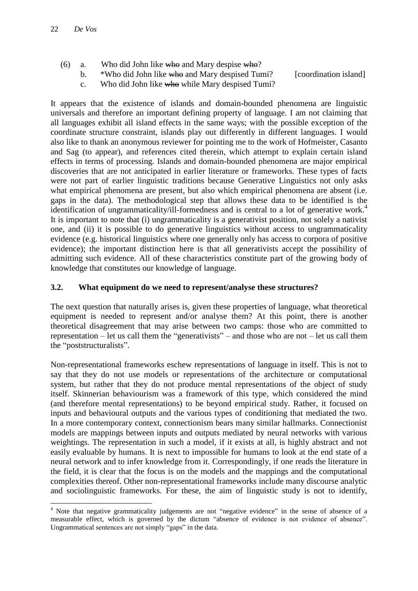**.** 

- (6) a. Who did John like who and Mary despise who?
	- b. \*Who did John like who and Mary despised Tumi? [coordination island]
	- c. Who did John like who while Mary despised Tumi?

It appears that the existence of islands and domain-bounded phenomena are linguistic universals and therefore an important defining property of language. I am not claiming that all languages exhibit all island effects in the same ways; with the possible exception of the coordinate structure constraint, islands play out differently in different languages. I would also like to thank an anonymous reviewer for pointing me to the work of Hofmeister, Casanto and Sag (to appear), and references cited therein, which attempt to explain certain island effects in terms of processing. Islands and domain-bounded phenomena are major empirical discoveries that are not anticipated in earlier literature or frameworks. These types of facts were not part of earlier linguistic traditions because Generative Linguistics not only asks what empirical phenomena are present, but also which empirical phenomena are absent (i.e. gaps in the data). The methodological step that allows these data to be identified is the identification of ungrammaticality/ill-formedness and is central to a lot of generative work.<sup>4</sup> It is important to note that (i) ungrammaticality is a generativist position, not solely a nativist one, and (ii) it is possible to do generative linguistics without access to ungrammaticality evidence (e.g. historical linguistics where one generally only has access to corpora of positive evidence); the important distinction here is that all generativists accept the possibility of admitting such evidence. All of these characteristics constitute part of the growing body of knowledge that constitutes our knowledge of language.

## **3.2. What equipment do we need to represent/analyse these structures?**

The next question that naturally arises is, given these properties of language, what theoretical equipment is needed to represent and/or analyse them? At this point, there is another theoretical disagreement that may arise between two camps: those who are committed to representation – let us call them the "generativists" – and those who are not – let us call them the "poststructuralists".

Non-representational frameworks eschew representations of language in itself. This is not to say that they do not use models or representations of the architecture or computational system, but rather that they do not produce mental representations of the object of study itself. Skinnerian behaviourism was a framework of this type, which considered the mind (and therefore mental representations) to be beyond empirical study. Rather, it focused on inputs and behavioural outputs and the various types of conditioning that mediated the two. In a more contemporary context, connectionism bears many similar hallmarks. Connectionist models are mappings between inputs and outputs mediated by neural networks with various weightings. The representation in such a model, if it exists at all, is highly abstract and not easily evaluable by humans. It is next to impossible for humans to look at the end state of a neural network and to infer knowledge from it. Correspondingly, if one reads the literature in the field, it is clear that the focus is on the models and the mappings and the computational complexities thereof. Other non-representational frameworks include many discourse analytic and sociolinguistic frameworks. For these, the aim of linguistic study is not to identify,

<sup>4</sup> Note that negative grammaticality judgements are not "negative evidence" in the sense of absence of a measurable effect, which is governed by the dictum "absence of evidence is not evidence of absence". Ungrammatical sentences are not simply "gaps" in the data.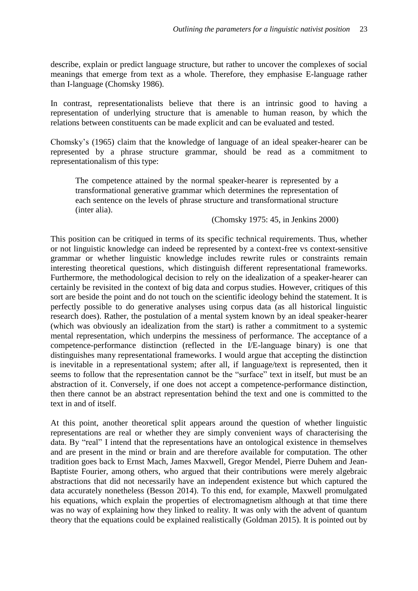describe, explain or predict language structure, but rather to uncover the complexes of social meanings that emerge from text as a whole. Therefore, they emphasise E-language rather than I-language (Chomsky 1986).

In contrast, representationalists believe that there is an intrinsic good to having a representation of underlying structure that is amenable to human reason, by which the relations between constituents can be made explicit and can be evaluated and tested.

Chomsky"s (1965) claim that the knowledge of language of an ideal speaker-hearer can be represented by a phrase structure grammar, should be read as a commitment to representationalism of this type:

The competence attained by the normal speaker-hearer is represented by a transformational generative grammar which determines the representation of each sentence on the levels of phrase structure and transformational structure (inter alia).

(Chomsky 1975: 45, in Jenkins 2000)

This position can be critiqued in terms of its specific technical requirements. Thus, whether or not linguistic knowledge can indeed be represented by a context-free vs context-sensitive grammar or whether linguistic knowledge includes rewrite rules or constraints remain interesting theoretical questions, which distinguish different representational frameworks. Furthermore, the methodological decision to rely on the idealization of a speaker-hearer can certainly be revisited in the context of big data and corpus studies. However, critiques of this sort are beside the point and do not touch on the scientific ideology behind the statement. It is perfectly possible to do generative analyses using corpus data (as all historical linguistic research does). Rather, the postulation of a mental system known by an ideal speaker-hearer (which was obviously an idealization from the start) is rather a commitment to a systemic mental representation, which underpins the messiness of performance. The acceptance of a competence-performance distinction (reflected in the I/E-language binary) is one that distinguishes many representational frameworks. I would argue that accepting the distinction is inevitable in a representational system; after all, if language/text is represented, then it seems to follow that the representation cannot be the "surface" text in itself, but must be an abstraction of it. Conversely, if one does not accept a competence-performance distinction, then there cannot be an abstract representation behind the text and one is committed to the text in and of itself.

At this point, another theoretical split appears around the question of whether linguistic representations are real or whether they are simply convenient ways of characterising the data. By "real" I intend that the representations have an ontological existence in themselves and are present in the mind or brain and are therefore available for computation. The other tradition goes back to Ernst Mach, James Maxwell, Gregor Mendel, Pierre Duhem and Jean-Baptiste Fourier, among others, who argued that their contributions were merely algebraic abstractions that did not necessarily have an independent existence but which captured the data accurately nonetheless (Besson 2014). To this end, for example, Maxwell promulgated his equations, which explain the properties of electromagnetism although at that time there was no way of explaining how they linked to reality. It was only with the advent of quantum theory that the equations could be explained realistically (Goldman 2015). It is pointed out by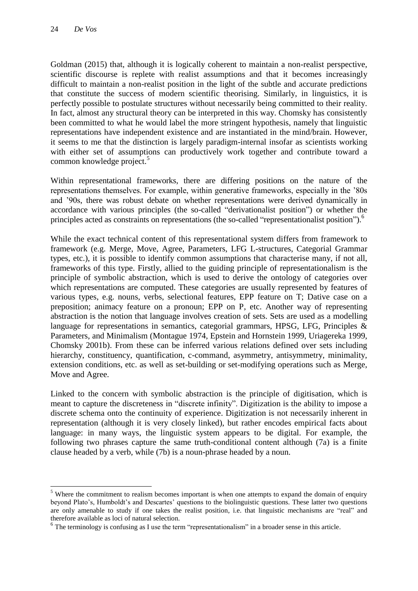**.** 

Goldman (2015) that, although it is logically coherent to maintain a non-realist perspective, scientific discourse is replete with realist assumptions and that it becomes increasingly difficult to maintain a non-realist position in the light of the subtle and accurate predictions that constitute the success of modern scientific theorising. Similarly, in linguistics, it is perfectly possible to postulate structures without necessarily being committed to their reality. In fact, almost any structural theory can be interpreted in this way. Chomsky has consistently been committed to what he would label the more stringent hypothesis, namely that linguistic representations have independent existence and are instantiated in the mind/brain. However, it seems to me that the distinction is largely paradigm-internal insofar as scientists working with either set of assumptions can productively work together and contribute toward a common knowledge project.<sup>5</sup>

Within representational frameworks, there are differing positions on the nature of the representations themselves. For example, within generative frameworks, especially in the "80s and "90s, there was robust debate on whether representations were derived dynamically in accordance with various principles (the so-called "derivationalist position") or whether the principles acted as constraints on representations (the so-called "representationalist position").<sup>6</sup>

While the exact technical content of this representational system differs from framework to framework (e.g. Merge, Move, Agree, Parameters, LFG L-structures, Categorial Grammar types, etc.), it is possible to identify common assumptions that characterise many, if not all, frameworks of this type. Firstly, allied to the guiding principle of representationalism is the principle of symbolic abstraction, which is used to derive the ontology of categories over which representations are computed. These categories are usually represented by features of various types, e.g. nouns, verbs, selectional features, EPP feature on T; Dative case on a preposition; animacy feature on a pronoun; EPP on P, etc. Another way of representing abstraction is the notion that language involves creation of sets. Sets are used as a modelling language for representations in semantics, categorial grammars, HPSG, LFG, Principles & Parameters, and Minimalism (Montague 1974, Epstein and Hornstein 1999, Uriagereka 1999, Chomsky 2001b). From these can be inferred various relations defined over sets including hierarchy, constituency, quantification, c-command, asymmetry, antisymmetry, minimality, extension conditions, etc. as well as set-building or set-modifying operations such as Merge, Move and Agree.

Linked to the concern with symbolic abstraction is the principle of digitisation, which is meant to capture the discreteness in "discrete infinity". Digitization is the ability to impose a discrete schema onto the continuity of experience. Digitization is not necessarily inherent in representation (although it is very closely linked), but rather encodes empirical facts about language: in many ways, the linguistic system appears to be digital. For example, the following two phrases capture the same truth-conditional content although (7a) is a finite clause headed by a verb, while (7b) is a noun-phrase headed by a noun.

<sup>&</sup>lt;sup>5</sup> Where the commitment to realism becomes important is when one attempts to expand the domain of enquiry beyond Plato"s, Humboldt"s and Descartes" questions to the biolinguistic questions. These latter two questions are only amenable to study if one takes the realist position, i.e. that linguistic mechanisms are "real" and therefore available as loci of natural selection.

 $6$  The terminology is confusing as I use the term "representationalism" in a broader sense in this article.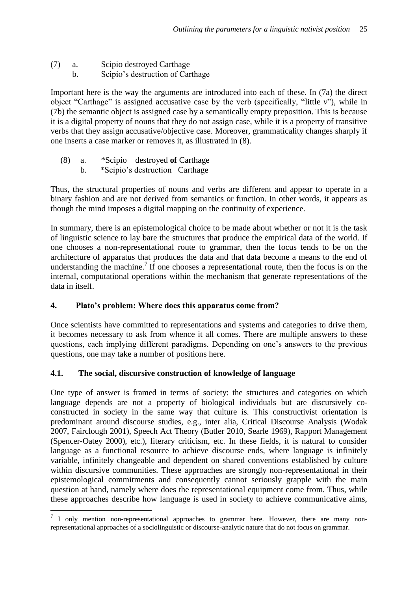- (7) a. Scipio destroyed Carthage
	- b. Scipio"s destruction of Carthage

Important here is the way the arguments are introduced into each of these. In (7a) the direct object "Carthage" is assigned accusative case by the verb (specifically, "little *v*"), while in (7b) the semantic object is assigned case by a semantically empty preposition. This is because it is a digital property of nouns that they do not assign case, while it is a property of transitive verbs that they assign accusative/objective case. Moreover, grammaticality changes sharply if one inserts a case marker or removes it, as illustrated in (8).

- (8) a. \*Scipio destroyed **of** Carthage
	- b. \*Scipio's destruction Carthage

Thus, the structural properties of nouns and verbs are different and appear to operate in a binary fashion and are not derived from semantics or function. In other words, it appears as though the mind imposes a digital mapping on the continuity of experience.

In summary, there is an epistemological choice to be made about whether or not it is the task of linguistic science to lay bare the structures that produce the empirical data of the world. If one chooses a non-representational route to grammar, then the focus tends to be on the architecture of apparatus that produces the data and that data become a means to the end of understanding the machine.<sup>7</sup> If one chooses a representational route, then the focus is on the internal, computational operations within the mechanism that generate representations of the data in itself.

## **4. Plato's problem: Where does this apparatus come from?**

Once scientists have committed to representations and systems and categories to drive them, it becomes necessary to ask from whence it all comes. There are multiple answers to these questions, each implying different paradigms. Depending on one"s answers to the previous questions, one may take a number of positions here.

## **4.1. The social, discursive construction of knowledge of language**

1

One type of answer is framed in terms of society: the structures and categories on which language depends are not a property of biological individuals but are discursively coconstructed in society in the same way that culture is. This constructivist orientation is predominant around discourse studies, e.g., inter alia, Critical Discourse Analysis (Wodak 2007, Fairclough 2001), Speech Act Theory (Butler 2010, Searle 1969), Rapport Management (Spencer-Oatey 2000), etc.), literary criticism, etc. In these fields, it is natural to consider language as a functional resource to achieve discourse ends, where language is infinitely variable, infinitely changeable and dependent on shared conventions established by culture within discursive communities. These approaches are strongly non-representational in their epistemological commitments and consequently cannot seriously grapple with the main question at hand, namely where does the representational equipment come from. Thus, while these approaches describe how language is used in society to achieve communicative aims,

<sup>7</sup> I only mention non-representational approaches to grammar here. However, there are many nonrepresentational approaches of a sociolinguistic or discourse-analytic nature that do not focus on grammar.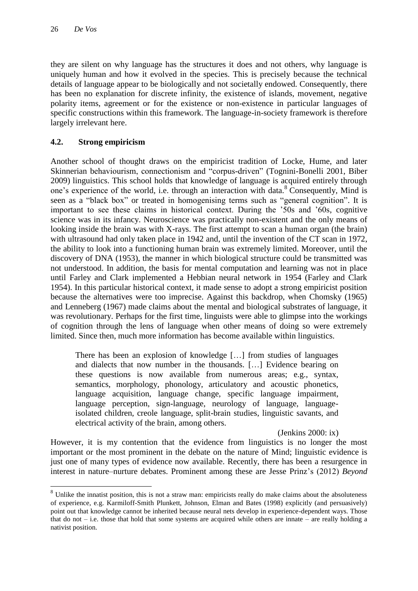**.** 

they are silent on why language has the structures it does and not others, why language is uniquely human and how it evolved in the species. This is precisely because the technical details of language appear to be biologically and not societally endowed. Consequently, there has been no explanation for discrete infinity, the existence of islands, movement, negative polarity items, agreement or for the existence or non-existence in particular languages of specific constructions within this framework. The language-in-society framework is therefore largely irrelevant here.

#### **4.2. Strong empiricism**

Another school of thought draws on the empiricist tradition of Locke, Hume, and later Skinnerian behaviourism, connectionism and "corpus-driven" (Tognini-Bonelli 2001, Biber 2009) linguistics. This school holds that knowledge of language is acquired entirely through one's experience of the world, i.e. through an interaction with data.<sup>8</sup> Consequently, Mind is seen as a "black box" or treated in homogenising terms such as "general cognition". It is important to see these claims in historical context. During the "50s and "60s, cognitive science was in its infancy. Neuroscience was practically non-existent and the only means of looking inside the brain was with X-rays. The first attempt to scan a human organ (the brain) with ultrasound had only taken place in 1942 and, until the invention of the CT scan in 1972, the ability to look into a functioning human brain was extremely limited. Moreover, until the discovery of DNA (1953), the manner in which biological structure could be transmitted was not understood. In addition, the basis for mental computation and learning was not in place until Farley and Clark implemented a Hebbian neural network in 1954 (Farley and Clark 1954). In this particular historical context, it made sense to adopt a strong empiricist position because the alternatives were too imprecise. Against this backdrop, when Chomsky (1965) and Lenneberg (1967) made claims about the mental and biological substrates of language, it was revolutionary. Perhaps for the first time, linguists were able to glimpse into the workings of cognition through the lens of language when other means of doing so were extremely limited. Since then, much more information has become available within linguistics.

There has been an explosion of knowledge […] from studies of languages and dialects that now number in the thousands. […] Evidence bearing on these questions is now available from numerous areas; e.g., syntax, semantics, morphology, phonology, articulatory and acoustic phonetics, language acquisition, language change, specific language impairment, language perception, sign-language, neurology of language, languageisolated children, creole language, split-brain studies, linguistic savants, and electrical activity of the brain, among others.

(Jenkins 2000: ix)

However, it is my contention that the evidence from linguistics is no longer the most important or the most prominent in the debate on the nature of Mind; linguistic evidence is just one of many types of evidence now available. Recently, there has been a resurgence in interest in nature–nurture debates. Prominent among these are Jesse Prinz"s (2012) *Beyond* 

<sup>&</sup>lt;sup>8</sup> Unlike the innatist position, this is not a straw man: empiricists really do make claims about the absoluteness of experience, e.g. Karmiloff-Smith Plunkett, Johnson, Elman and Bates (1998) explicitly (and persuasively) point out that knowledge cannot be inherited because neural nets develop in experience-dependent ways. Those that do not – i.e. those that hold that some systems are acquired while others are innate – are really holding a nativist position.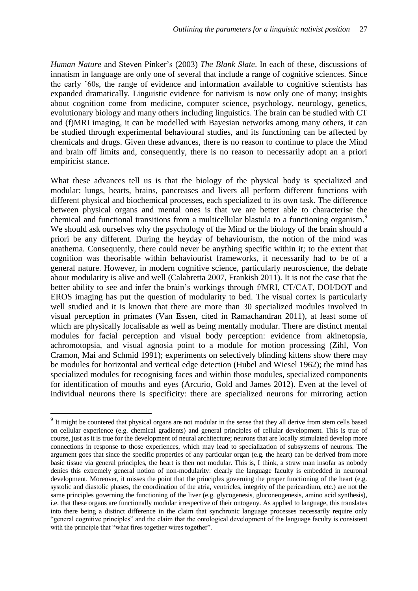*Human Nature* and Steven Pinker"s (2003) *The Blank Slate*. In each of these, discussions of innatism in language are only one of several that include a range of cognitive sciences. Since the early "60s, the range of evidence and information available to cognitive scientists has expanded dramatically. Linguistic evidence for nativism is now only one of many; insights about cognition come from medicine, computer science, psychology, neurology, genetics, evolutionary biology and many others including linguistics. The brain can be studied with CT and (f)MRI imaging, it can be modelled with Bayesian networks among many others, it can be studied through experimental behavioural studies, and its functioning can be affected by chemicals and drugs. Given these advances, there is no reason to continue to place the Mind and brain off limits and, consequently, there is no reason to necessarily adopt an a priori empiricist stance.

What these advances tell us is that the biology of the physical body is specialized and modular: lungs, hearts, brains, pancreases and livers all perform different functions with different physical and biochemical processes, each specialized to its own task. The difference between physical organs and mental ones is that we are better able to characterise the chemical and functional transitions from a multicellular blastula to a functioning organism.<sup>9</sup> We should ask ourselves why the psychology of the Mind or the biology of the brain should a priori be any different. During the heyday of behaviourism, the notion of the mind was anathema. Consequently, there could never be anything specific within it; to the extent that cognition was theorisable within behaviourist frameworks, it necessarily had to be of a general nature. However, in modern cognitive science, particularly neuroscience, the debate about modularity is alive and well (Calabretta 2007, Frankish 2011). It is not the case that the better ability to see and infer the brain"s workings through f/MRI, CT/CAT, DOI/DOT and EROS imaging has put the question of modularity to bed. The visual cortex is particularly well studied and it is known that there are more than 30 specialized modules involved in visual perception in primates (Van Essen, cited in Ramachandran 2011), at least some of which are physically localisable as well as being mentally modular. There are distinct mental modules for facial perception and visual body perception: evidence from akinetopsia, achromotopsia, and visual agnosia point to a module for motion processing (Zihl, Von Cramon, Mai and Schmid 1991); experiments on selectively blinding kittens show there may be modules for horizontal and vertical edge detection (Hubel and Wiesel 1962); the mind has specialized modules for recognising faces and within those modules, specialized components for identification of mouths and eyes (Arcurio, Gold and James 2012). Even at the level of individual neurons there is specificity: there are specialized neurons for mirroring action

**.** 

<sup>&</sup>lt;sup>9</sup> It might be countered that physical organs are not modular in the sense that they all derive from stem cells based on cellular experience (e.g. chemical gradients) and general principles of cellular development. This is true of course, just as it is true for the development of neural architecture; neurons that are locally stimulated develop more connections in response to those experiences, which may lead to specialization of subsystems of neurons. The argument goes that since the specific properties of any particular organ (e.g. the heart) can be derived from more basic tissue via general principles, the heart is then not modular. This is, I think, a straw man insofar as nobody denies this extremely general notion of non-modularity: clearly the language faculty is embedded in neuronal development. Moreover, it misses the point that the principles governing the proper functioning of the heart (e.g. systolic and diastolic phases, the coordination of the atria, ventricles, integrity of the pericardium, etc.) are not the same principles governing the functioning of the liver (e.g. glycogenesis, gluconeogenesis, amino acid synthesis), i.e. that these organs are functionally modular irrespective of their ontogeny. As applied to language, this translates into there being a distinct difference in the claim that synchronic language processes necessarily require only "general cognitive principles" and the claim that the ontological development of the language faculty is consistent with the principle that "what fires together wires together".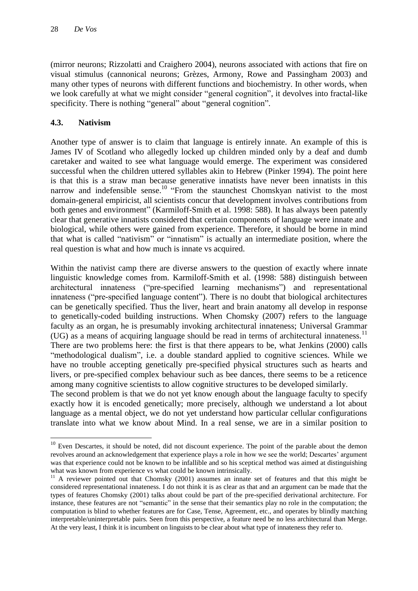(mirror neurons; Rizzolatti and Craighero 2004), neurons associated with actions that fire on visual stimulus (cannonical neurons; Grèzes, Armony, Rowe and Passingham 2003) and many other types of neurons with different functions and biochemistry. In other words, when we look carefully at what we might consider "general cognition", it devolves into fractal-like specificity. There is nothing "general" about "general cognition".

## **4.3. Nativism**

1

Another type of answer is to claim that language is entirely innate. An example of this is James IV of Scotland who allegedly locked up children minded only by a deaf and dumb caretaker and waited to see what language would emerge. The experiment was considered successful when the children uttered syllables akin to Hebrew (Pinker 1994). The point here is that this is a straw man because generative innatists have never been innatists in this narrow and indefensible sense.<sup>10</sup> "From the staunchest Chomskyan nativist to the most domain-general empiricist, all scientists concur that development involves contributions from both genes and environment" (Karmiloff-Smith et al. 1998: 588). It has always been patently clear that generative innatists considered that certain components of language were innate and biological, while others were gained from experience. Therefore, it should be borne in mind that what is called "nativism" or "innatism" is actually an intermediate position, where the real question is what and how much is innate vs acquired.

Within the nativist camp there are diverse answers to the question of exactly where innate linguistic knowledge comes from. Karmiloff-Smith et al. (1998: 588) distinguish between architectural innateness ("pre-specified learning mechanisms") and representational innateness ("pre-specified language content"). There is no doubt that biological architectures can be genetically specified. Thus the liver, heart and brain anatomy all develop in response to genetically-coded building instructions. When Chomsky (2007) refers to the language faculty as an organ, he is presumably invoking architectural innateness; Universal Grammar  $(UG)$  as a means of acquiring language should be read in terms of architectural innateness.<sup>11</sup> There are two problems here: the first is that there appears to be, what Jenkins (2000) calls "methodological dualism", i.e. a double standard applied to cognitive sciences. While we have no trouble accepting genetically pre-specified physical structures such as hearts and livers, or pre-specified complex behaviour such as bee dances, there seems to be a reticence among many cognitive scientists to allow cognitive structures to be developed similarly.

The second problem is that we do not yet know enough about the language faculty to specify exactly how it is encoded genetically; more precisely, although we understand a lot about language as a mental object, we do not yet understand how particular cellular configurations translate into what we know about Mind. In a real sense, we are in a similar position to

 $10$  Even Descartes, it should be noted, did not discount experience. The point of the parable about the demon revolves around an acknowledgement that experience plays a role in how we see the world; Descartes" argument was that experience could not be known to be infallible and so his sceptical method was aimed at distinguishing what was known from experience vs what could be known intrinsically.

<sup>&</sup>lt;sup>11</sup> A reviewer pointed out that Chomsky (2001) assumes an innate set of features and that this might be considered representational innateness. I do not think it is as clear as that and an argument can be made that the types of features Chomsky (2001) talks about could be part of the pre-specified derivational architecture. For instance, these features are not "semantic" in the sense that their semantics play no role in the computation; the computation is blind to whether features are for Case, Tense, Agreement, etc., and operates by blindly matching interpretable/uninterpretable pairs. Seen from this perspective, a feature need be no less architectural than Merge. At the very least, I think it is incumbent on linguists to be clear about what type of innateness they refer to.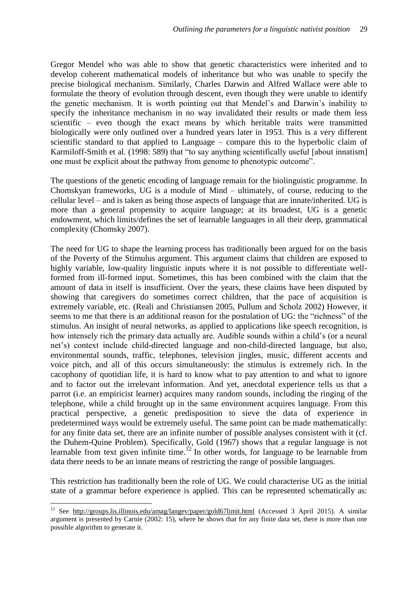Gregor Mendel who was able to show that genetic characteristics were inherited and to develop coherent mathematical models of inheritance but who was unable to specify the precise biological mechanism. Similarly, Charles Darwin and Alfred Wallace were able to formulate the theory of evolution through descent, even though they were unable to identify the genetic mechanism. It is worth pointing out that Mendel"s and Darwin"s inability to specify the inheritance mechanism in no way invalidated their results or made them less scientific – even though the exact means by which heritable traits were transmitted biologically were only outlined over a hundred years later in 1953. This is a very different scientific standard to that applied to Language – compare this to the hyperbolic claim of Karmiloff-Smith et al. (1998: 589) that "to say anything scientifically useful [about innatism] one must be explicit about the pathway from genome to phenotypic outcome".

The questions of the genetic encoding of language remain for the biolinguistic programme. In Chomskyan frameworks, UG is a module of Mind – ultimately, of course, reducing to the cellular level – and is taken as being those aspects of language that are innate/inherited. UG is more than a general propensity to acquire language; at its broadest, UG is a genetic endowment, which limits/defines the set of learnable languages in all their deep, grammatical complexity (Chomsky 2007).

The need for UG to shape the learning process has traditionally been argued for on the basis of the Poverty of the Stimulus argument. This argument claims that children are exposed to highly variable, low-quality linguistic inputs where it is not possible to differentiate wellformed from ill-formed input. Sometimes, this has been combined with the claim that the amount of data in itself is insufficient. Over the years, these claims have been disputed by showing that caregivers do sometimes correct children, that the pace of acquisition is extremely variable, etc. (Reali and Christiansen 2005, Pullum and Scholz 2002) However, it seems to me that there is an additional reason for the postulation of UG: the "richness" of the stimulus. An insight of neural networks, as applied to applications like speech recognition, is how intensely rich the primary data actually are. Audible sounds within a child"s (or a neural net"s) context include child-directed language and non-child-directed language, but also, environmental sounds, traffic, telephones, television jingles, music, different accents and voice pitch, and all of this occurs simultaneously: the stimulus is extremely rich. In the cacophony of quotidian life, it is hard to know what to pay attention to and what to ignore and to factor out the irrelevant information. And yet, anecdotal experience tells us that a parrot (i.e. an empiricist learner) acquires many random sounds, including the ringing of the telephone, while a child brought up in the same environment acquires language. From this practical perspective, a genetic predisposition to sieve the data of experience in predetermined ways would be extremely useful. The same point can be made mathematically: for any finite data set, there are an infinite number of possible analyses consistent with it (cf. the Duhem-Quine Problem). Specifically, Gold (1967) shows that a regular language is not learnable from text given infinite time.<sup>12</sup> In other words, for language to be learnable from data there needs to be an innate means of restricting the range of possible languages.

This restriction has traditionally been the role of UG. We could characterise UG as the initial state of a grammar before experience is applied. This can be represented schematically as:

**.** 

<sup>&</sup>lt;sup>12</sup> See http://groups.lis.illinois.edu/amag/langev/paper/gold67limit.html (Accessed 3 April 2015). A similar argument is presented by Carnie (2002: 15), where he shows that for any finite data set, there is more than one possible algorithm to generate it.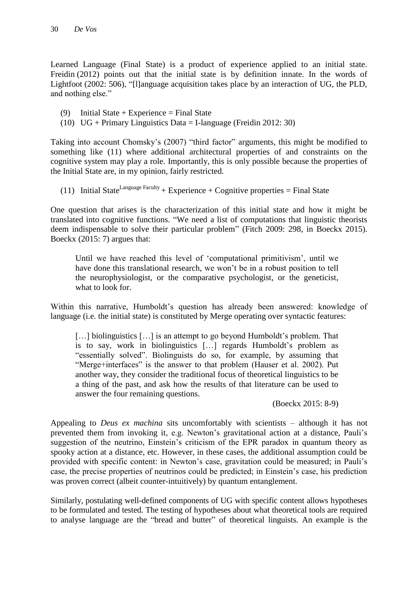Learned Language (Final State) is a product of experience applied to an initial state. Freidin (2012) points out that the initial state is by definition innate. In the words of Lightfoot (2002: 506), "[l]anguage acquisition takes place by an interaction of UG, the PLD, and nothing else."

- (9) Initial State + Experience = Final State
- (10)  $UG + Primary Linguistics Data = I-language (Freidin 2012: 30)$

Taking into account Chomsky"s (2007) "third factor" arguments, this might be modified to something like (11) where additional architectural properties of and constraints on the cognitive system may play a role. Importantly, this is only possible because the properties of the Initial State are, in my opinion, fairly restricted.

(11) Initial State<sup>Language Faculty</sup> + Experience + Cognitive properties = Final State

One question that arises is the characterization of this initial state and how it might be translated into cognitive functions. "We need a list of computations that linguistic theorists deem indispensable to solve their particular problem" (Fitch 2009: 298, in Boeckx 2015). Boeckx (2015: 7) argues that:

Until we have reached this level of "computational primitivism", until we have done this translational research, we won"t be in a robust position to tell the neurophysiologist, or the comparative psychologist, or the geneticist, what to look for.

Within this narrative, Humboldt's question has already been answered: knowledge of language (i.e. the initial state) is constituted by Merge operating over syntactic features:

[...] biolinguistics [...] is an attempt to go beyond Humboldt's problem. That is to say, work in biolinguistics […] regards Humboldt"s problem as "essentially solved". Biolinguists do so, for example, by assuming that "Merge+interfaces" is the answer to that problem (Hauser et al. 2002). Put another way, they consider the traditional focus of theoretical linguistics to be a thing of the past, and ask how the results of that literature can be used to answer the four remaining questions.

(Boeckx 2015: 8-9)

Appealing to *Deus ex machina* sits uncomfortably with scientists – although it has not prevented them from invoking it, e.g. Newton"s gravitational action at a distance, Pauli"s suggestion of the neutrino, Einstein's criticism of the EPR paradox in quantum theory as spooky action at a distance, etc. However, in these cases, the additional assumption could be provided with specific content: in Newton's case, gravitation could be measured; in Pauli's case, the precise properties of neutrinos could be predicted; in Einstein"s case, his prediction was proven correct (albeit counter-intuitively) by quantum entanglement.

Similarly, postulating well-defined components of UG with specific content allows hypotheses to be formulated and tested. The testing of hypotheses about what theoretical tools are required to analyse language are the "bread and butter" of theoretical linguists. An example is the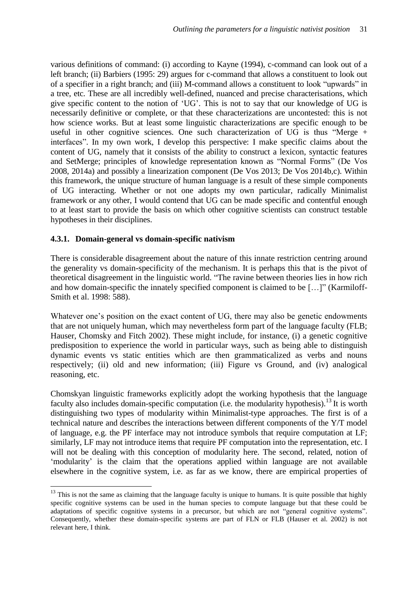various definitions of command: (i) according to Kayne (1994), c-command can look out of a left branch; (ii) Barbiers (1995: 29) argues for c-command that allows a constituent to look out of a specifier in a right branch; and (iii) M-command allows a constituent to look "upwards" in a tree, etc. These are all incredibly well-defined, nuanced and precise characterisations, which give specific content to the notion of "UG". This is not to say that our knowledge of UG is necessarily definitive or complete, or that these characterizations are uncontested: this is not how science works. But at least some linguistic characterizations are specific enough to be useful in other cognitive sciences. One such characterization of UG is thus "Merge + interfaces". In my own work, I develop this perspective: I make specific claims about the content of UG, namely that it consists of the ability to construct a lexicon, syntactic features and SetMerge; principles of knowledge representation known as "Normal Forms" (De Vos 2008, 2014a) and possibly a linearization component (De Vos 2013; De Vos 2014b,c). Within this framework, the unique structure of human language is a result of these simple components of UG interacting. Whether or not one adopts my own particular, radically Minimalist framework or any other, I would contend that UG can be made specific and contentful enough to at least start to provide the basis on which other cognitive scientists can construct testable hypotheses in their disciplines.

#### **4.3.1. Domain-general vs domain-specific nativism**

**.** 

There is considerable disagreement about the nature of this innate restriction centring around the generality vs domain-specificity of the mechanism. It is perhaps this that is the pivot of theoretical disagreement in the linguistic world. "The ravine between theories lies in how rich and how domain-specific the innately specified component is claimed to be […]" (Karmiloff-Smith et al. 1998: 588).

Whatever one's position on the exact content of UG, there may also be genetic endowments that are not uniquely human, which may nevertheless form part of the language faculty (FLB; Hauser, Chomsky and Fitch 2002). These might include, for instance, (i) a genetic cognitive predisposition to experience the world in particular ways, such as being able to distinguish dynamic events vs static entities which are then grammaticalized as verbs and nouns respectively; (ii) old and new information; (iii) Figure vs Ground, and (iv) analogical reasoning, etc.

Chomskyan linguistic frameworks explicitly adopt the working hypothesis that the language faculty also includes domain-specific computation (i.e. the modularity hypothesis).<sup>13</sup> It is worth distinguishing two types of modularity within Minimalist-type approaches. The first is of a technical nature and describes the interactions between different components of the Y/T model of language, e.g. the PF interface may not introduce symbols that require computation at LF; similarly, LF may not introduce items that require PF computation into the representation, etc. I will not be dealing with this conception of modularity here. The second, related, notion of 'modularity' is the claim that the operations applied within language are not available elsewhere in the cognitive system, i.e. as far as we know, there are empirical properties of

 $13$  This is not the same as claiming that the language faculty is unique to humans. It is quite possible that highly specific cognitive systems can be used in the human species to compute language but that these could be adaptations of specific cognitive systems in a precursor, but which are not "general cognitive systems". Consequently, whether these domain-specific systems are part of FLN or FLB (Hauser et al. 2002) is not relevant here, I think.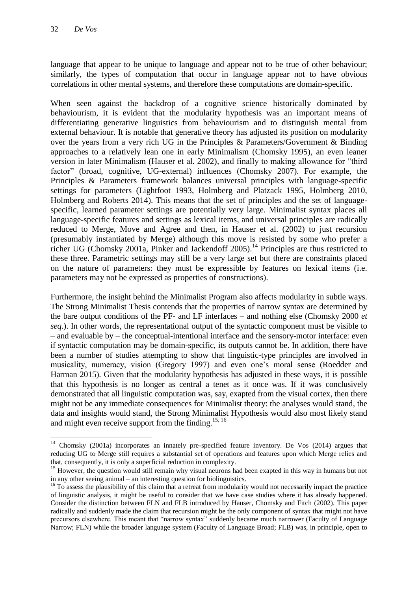**.** 

language that appear to be unique to language and appear not to be true of other behaviour; similarly, the types of computation that occur in language appear not to have obvious correlations in other mental systems, and therefore these computations are domain-specific.

When seen against the backdrop of a cognitive science historically dominated by behaviourism, it is evident that the modularity hypothesis was an important means of differentiating generative linguistics from behaviourism and to distinguish mental from external behaviour. It is notable that generative theory has adjusted its position on modularity over the years from a very rich UG in the Principles & Parameters/Government & Binding approaches to a relatively lean one in early Minimalism (Chomsky 1995), an even leaner version in later Minimalism (Hauser et al. 2002), and finally to making allowance for "third factor" (broad, cognitive, UG-external) influences (Chomsky 2007). For example, the Principles & Parameters framework balances universal principles with language-specific settings for parameters (Lightfoot 1993, Holmberg and Platzack 1995, Holmberg 2010, Holmberg and Roberts 2014). This means that the set of principles and the set of languagespecific, learned parameter settings are potentially very large. Minimalist syntax places all language-specific features and settings as lexical items, and universal principles are radically reduced to Merge, Move and Agree and then, in Hauser et al. (2002) to just recursion (presumably instantiated by Merge) although this move is resisted by some who prefer a richer UG (Chomsky 2001a, Pinker and Jackendoff 2005).<sup>14</sup> Principles are thus restricted to these three. Parametric settings may still be a very large set but there are constraints placed on the nature of parameters: they must be expressible by features on lexical items (i.e. parameters may not be expressed as properties of constructions).

Furthermore, the insight behind the Minimalist Program also affects modularity in subtle ways. The Strong Minimalist Thesis contends that the properties of narrow syntax are determined by the bare output conditions of the PF- and LF interfaces – and nothing else (Chomsky 2000 *et seq*.). In other words, the representational output of the syntactic component must be visible to – and evaluable by – the conceptual-intentional interface and the sensory-motor interface: even if syntactic computation may be domain-specific, its outputs cannot be. In addition, there have been a number of studies attempting to show that linguistic-type principles are involved in musicality, numeracy, vision (Gregory 1997) and even one"s moral sense (Roedder and Harman 2015). Given that the modularity hypothesis has adjusted in these ways, it is possible that this hypothesis is no longer as central a tenet as it once was. If it was conclusively demonstrated that all linguistic computation was, say, exapted from the visual cortex, then there might not be any immediate consequences for Minimalist theory: the analyses would stand, the data and insights would stand, the Strong Minimalist Hypothesis would also most likely stand and might even receive support from the finding.<sup>15, 16</sup>

<sup>&</sup>lt;sup>14</sup> Chomsky (2001a) incorporates an innately pre-specified feature inventory. De Vos (2014) argues that reducing UG to Merge still requires a substantial set of operations and features upon which Merge relies and that, consequently, it is only a superficial reduction in complexity.

<sup>&</sup>lt;sup>15</sup> However, the question would still remain why visual neurons had been exapted in this way in humans but not in any other seeing animal – an interesting question for biolinguistics.

 $16$  To assess the plausibility of this claim that a retreat from modularity would not necessarily impact the practice of linguistic analysis, it might be useful to consider that we have case studies where it has already happened. Consider the distinction between FLN and FLB introduced by Hauser, Chomsky and Fitch (2002). This paper radically and suddenly made the claim that recursion might be the only component of syntax that might not have precursors elsewhere. This meant that "narrow syntax" suddenly became much narrower (Faculty of Language Narrow; FLN) while the broader language system (Faculty of Language Broad; FLB) was, in principle, open to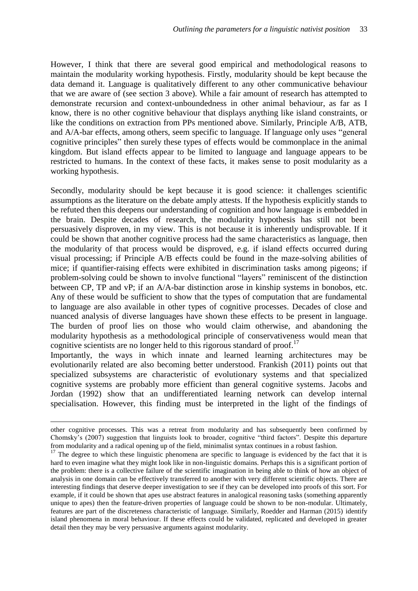However, I think that there are several good empirical and methodological reasons to maintain the modularity working hypothesis. Firstly, modularity should be kept because the data demand it. Language is qualitatively different to any other communicative behaviour that we are aware of (see section 3 above). While a fair amount of research has attempted to demonstrate recursion and context-unboundedness in other animal behaviour, as far as I know, there is no other cognitive behaviour that displays anything like island constraints, or like the conditions on extraction from PPs mentioned above. Similarly, Principle A/B, ATB, and A/A-bar effects, among others, seem specific to language. If language only uses "general cognitive principles" then surely these types of effects would be commonplace in the animal kingdom. But island effects appear to be limited to language and language appears to be restricted to humans. In the context of these facts, it makes sense to posit modularity as a working hypothesis.

Secondly, modularity should be kept because it is good science: it challenges scientific assumptions as the literature on the debate amply attests. If the hypothesis explicitly stands to be refuted then this deepens our understanding of cognition and how language is embedded in the brain. Despite decades of research, the modularity hypothesis has still not been persuasively disproven, in my view. This is not because it is inherently undisprovable. If it could be shown that another cognitive process had the same characteristics as language, then the modularity of that process would be disproved, e.g. if island effects occurred during visual processing; if Principle A/B effects could be found in the maze-solving abilities of mice; if quantifier-raising effects were exhibited in discrimination tasks among pigeons; if problem-solving could be shown to involve functional "layers" reminiscent of the distinction between CP, TP and vP; if an A/A-bar distinction arose in kinship systems in bonobos, etc. Any of these would be sufficient to show that the types of computation that are fundamental to language are also available in other types of cognitive processes. Decades of close and nuanced analysis of diverse languages have shown these effects to be present in language. The burden of proof lies on those who would claim otherwise, and abandoning the modularity hypothesis as a methodological principle of conservativeness would mean that cognitive scientists are no longer held to this rigorous standard of proof.<sup>17</sup>

Importantly, the ways in which innate and learned learning architectures may be evolutionarily related are also becoming better understood. Frankish (2011) points out that specialized subsystems are characteristic of evolutionary systems and that specialized cognitive systems are probably more efficient than general cognitive systems. Jacobs and Jordan (1992) show that an undifferentiated learning network can develop internal specialisation. However, this finding must be interpreted in the light of the findings of

**.** 

other cognitive processes. This was a retreat from modularity and has subsequently been confirmed by Chomsky"s (2007) suggestion that linguists look to broader, cognitive "third factors". Despite this departure from modularity and a radical opening up of the field, minimalist syntax continues in a robust fashion.

<sup>&</sup>lt;sup>17</sup> The degree to which these linguistic phenomena are specific to language is evidenced by the fact that it is hard to even imagine what they might look like in non-linguistic domains. Perhaps this is a significant portion of the problem: there is a collective failure of the scientific imagination in being able to think of how an object of analysis in one domain can be effectively transferred to another with very different scientific objects. There are interesting findings that deserve deeper investigation to see if they can be developed into proofs of this sort. For example, if it could be shown that apes use abstract features in analogical reasoning tasks (something apparently unique to apes) then the feature-driven properties of language could be shown to be non-modular. Ultimately, features are part of the discreteness characteristic of language. Similarly, Roedder and Harman (2015) identify island phenomena in moral behaviour. If these effects could be validated, replicated and developed in greater detail then they may be very persuasive arguments against modularity.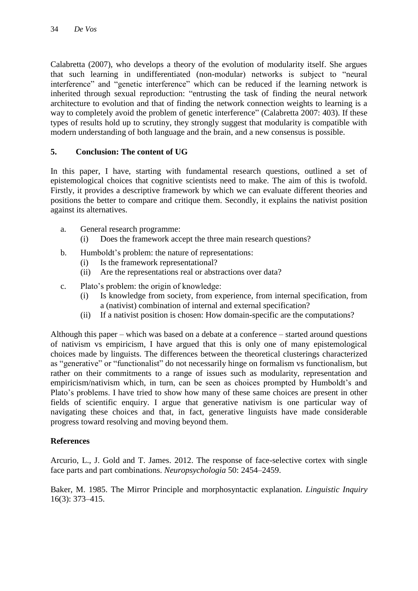Calabretta (2007), who develops a theory of the evolution of modularity itself. She argues that such learning in undifferentiated (non-modular) networks is subject to "neural interference" and "genetic interference" which can be reduced if the learning network is inherited through sexual reproduction: "entrusting the task of finding the neural network architecture to evolution and that of finding the network connection weights to learning is a way to completely avoid the problem of genetic interference" (Calabretta 2007: 403). If these types of results hold up to scrutiny, they strongly suggest that modularity is compatible with modern understanding of both language and the brain, and a new consensus is possible.

## **5. Conclusion: The content of UG**

In this paper, I have, starting with fundamental research questions, outlined a set of epistemological choices that cognitive scientists need to make. The aim of this is twofold. Firstly, it provides a descriptive framework by which we can evaluate different theories and positions the better to compare and critique them. Secondly, it explains the nativist position against its alternatives.

- a. General research programme:
	- (i) Does the framework accept the three main research questions?
- b. Humboldt"s problem: the nature of representations:
	- (i) Is the framework representational?
	- (ii) Are the representations real or abstractions over data?
- c. Plato"s problem: the origin of knowledge:
	- (i) Is knowledge from society, from experience, from internal specification, from a (nativist) combination of internal and external specification?
	- (ii) If a nativist position is chosen: How domain-specific are the computations?

Although this paper – which was based on a debate at a conference – started around questions of nativism vs empiricism, I have argued that this is only one of many epistemological choices made by linguists. The differences between the theoretical clusterings characterized as "generative" or "functionalist" do not necessarily hinge on formalism vs functionalism, but rather on their commitments to a range of issues such as modularity, representation and empiricism/nativism which, in turn, can be seen as choices prompted by Humboldt's and Plato"s problems. I have tried to show how many of these same choices are present in other fields of scientific enquiry. I argue that generative nativism is one particular way of navigating these choices and that, in fact, generative linguists have made considerable progress toward resolving and moving beyond them.

#### **References**

Arcurio, L., J. Gold and T. James. 2012. The response of face-selective cortex with single face parts and part combinations. *Neuropsychologia* 50: 2454–2459.

Baker, M. 1985. The Mirror Principle and morphosyntactic explanation. *Linguistic Inquiry*  16(3): 373–415.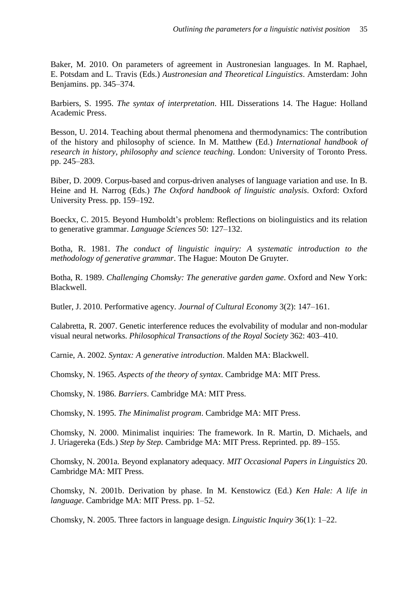Baker, M. 2010. On parameters of agreement in Austronesian languages. In M. Raphael, E. Potsdam and L. Travis (Eds.) *Austronesian and Theoretical Linguistics*. Amsterdam: John Benjamins. pp. 345–374.

Barbiers, S. 1995. *The syntax of interpretation*. HIL Disserations 14. The Hague: Holland Academic Press.

Besson, U. 2014. Teaching about thermal phenomena and thermodynamics: The contribution of the history and philosophy of science. In M. Matthew (Ed.) *International handbook of research in history, philosophy and science teaching*. London: University of Toronto Press. pp. 245–283.

Biber, D. 2009. Corpus-based and corpus-driven analyses of language variation and use. In B. Heine and H. Narrog (Eds.) *The Oxford handbook of linguistic analysis*. Oxford: Oxford University Press. pp. 159–192.

Boeckx, C. 2015. Beyond Humboldt"s problem: Reflections on biolinguistics and its relation to generative grammar. *Language Sciences* 50: 127–132.

Botha, R. 1981. *The conduct of linguistic inquiry: A systematic introduction to the methodology of generative grammar*. The Hague: Mouton De Gruyter.

Botha, R. 1989. *Challenging Chomsky: The generative garden game*. Oxford and New York: Blackwell.

Butler, J. 2010. Performative agency. *Journal of Cultural Economy* 3(2): 147–161.

Calabretta, R. 2007. Genetic interference reduces the evolvability of modular and non-modular visual neural networks. *Philosophical Transactions of the Royal Society* 362: 403–410.

Carnie, A. 2002. *Syntax: A generative introduction*. Malden MA: Blackwell.

Chomsky, N. 1965. *Aspects of the theory of syntax*. Cambridge MA: MIT Press.

Chomsky, N. 1986. *Barriers*. Cambridge MA: MIT Press.

Chomsky, N. 1995. *The Minimalist program*. Cambridge MA: MIT Press.

Chomsky, N. 2000. Minimalist inquiries: The framework. In R. Martin, D. Michaels, and J. Uriagereka (Eds.) *Step by Step.* Cambridge MA: MIT Press. Reprinted. pp. 89–155.

Chomsky, N. 2001a. Beyond explanatory adequacy. *MIT Occasional Papers in Linguistics* 20. Cambridge MA: MIT Press.

Chomsky, N. 2001b. Derivation by phase. In M. Kenstowicz (Ed.) *Ken Hale: A life in language*. Cambridge MA: MIT Press. pp. 1–52.

Chomsky, N. 2005. Three factors in language design. *Linguistic Inquiry* 36(1): 1–22.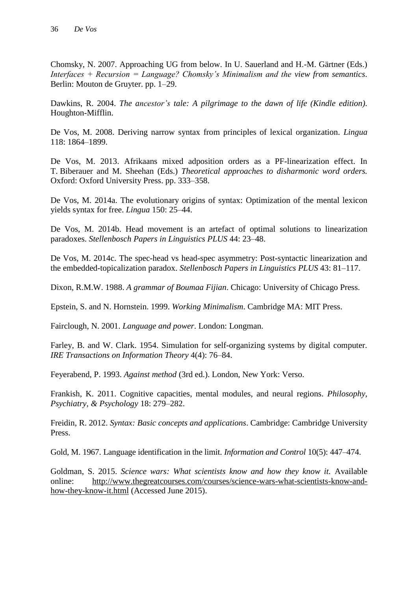Chomsky, N. 2007. Approaching UG from below. In U. Sauerland and H.-M. Gärtner (Eds.) *Interfaces + Recursion = Language? Chomsky's Minimalism and the view from semantics*. Berlin: Mouton de Gruyter. pp. 1–29.

Dawkins, R. 2004. *The ancestor's tale: A pilgrimage to the dawn of life (Kindle edition)*. Houghton-Mifflin.

De Vos, M. 2008. Deriving narrow syntax from principles of lexical organization. *Lingua*  118: 1864–1899.

De Vos, M. 2013. Afrikaans mixed adposition orders as a PF-linearization effect. In T. Biberauer and M. Sheehan (Eds.) *Theoretical approaches to disharmonic word orders.* Oxford: Oxford University Press. pp. 333–358.

De Vos, M. 2014a. The evolutionary origins of syntax: Optimization of the mental lexicon yields syntax for free. *Lingua* 150: 25–44.

De Vos, M. 2014b. Head movement is an artefact of optimal solutions to linearization paradoxes. *Stellenbosch Papers in Linguistics PLUS* 44: 23–48.

De Vos, M. 2014c. The spec-head vs head-spec asymmetry: Post-syntactic linearization and the embedded-topicalization paradox. *Stellenbosch Papers in Linguistics PLUS* 43: 81–117.

Dixon, R.M.W. 1988. *A grammar of Boumaa Fijian*. Chicago: University of Chicago Press.

Epstein, S. and N. Hornstein. 1999. *Working Minimalism*. Cambridge MA: MIT Press.

Fairclough, N. 2001. *Language and power*. London: Longman.

Farley, B. and W. Clark. 1954. Simulation for self-organizing systems by digital computer. *IRE Transactions on Information Theory* 4(4): 76–84.

Feyerabend, P. 1993. *Against method* (3rd ed.). London, New York: Verso.

Frankish, K. 2011. Cognitive capacities, mental modules, and neural regions. *Philosophy, Psychiatry, & Psychology* 18: 279–282.

Freidin, R. 2012. *Syntax: Basic concepts and applications*. Cambridge: Cambridge University Press.

Gold, M. 1967. Language identification in the limit. *Information and Control* 10(5): 447–474.

Goldman, S. 2015. *Science wars: What scientists know and how they know it.* Available online: http://www.thegreatcourses.com/courses/science-wars-what-scientists-know-andhow-they-know-it.html (Accessed June 2015).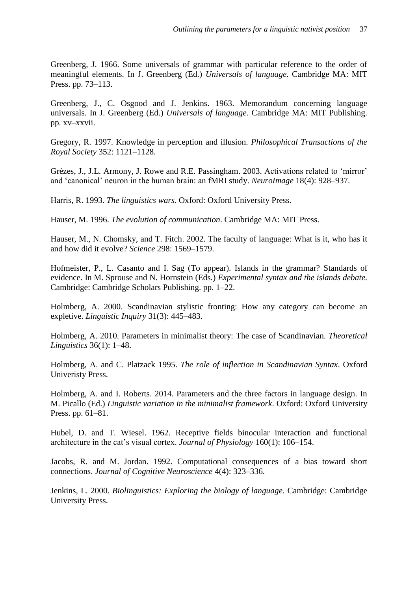Greenberg, J. 1966. Some universals of grammar with particular reference to the order of meaningful elements. In J. Greenberg (Ed.) *Universals of language*. Cambridge MA: MIT Press. pp. 73–113.

Greenberg, J., C. Osgood and J. Jenkins. 1963. Memorandum concerning language universals. In J. Greenberg (Ed.) *Universals of language*. Cambridge MA: MIT Publishing. pp. xv–xxvii.

Gregory, R. 1997. Knowledge in perception and illusion. *Philosophical Transactions of the Royal Society* 352: 1121–1128.

Grèzes, J., J.L. Armony, J. Rowe and R.E. Passingham. 2003. Activations related to "mirror" and "canonical" neuron in the human brain: an fMRI study. *NeuroImage* 18(4): 928–937.

Harris, R. 1993. *The linguistics wars*. Oxford: Oxford University Press.

Hauser, M. 1996. *The evolution of communication*. Cambridge MA: MIT Press.

Hauser, M., N. Chomsky, and T. Fitch. 2002. The faculty of language: What is it, who has it and how did it evolve? *Science* 298: 1569–1579.

Hofmeister, P., L. Casanto and I. Sag (To appear). Islands in the grammar? Standards of evidence. In M. Sprouse and N. Hornstein (Eds.) *Experimental syntax and the islands debate*. Cambridge: Cambridge Scholars Publishing. pp. 1–22.

Holmberg, A. 2000. Scandinavian stylistic fronting: How any category can become an expletive. *Linguistic Inquiry* 31(3): 445–483.

Holmberg, A. 2010. Parameters in minimalist theory: The case of Scandinavian. *Theoretical Linguistics* 36(1): 1–48.

Holmberg, A. and C. Platzack 1995. *The role of inflection in Scandinavian Syntax*. Oxford Univeristy Press.

Holmberg, A. and I. Roberts. 2014. Parameters and the three factors in language design. In M. Picallo (Ed.) *Linguistic variation in the minimalist framework*. Oxford: Oxford University Press. pp. 61–81.

Hubel, D. and T. Wiesel. 1962. Receptive fields binocular interaction and functional architecture in the cat"s visual cortex. *Journal of Physiology* 160(1): 106–154.

Jacobs, R. and M. Jordan. 1992. Computational consequences of a bias toward short connections. *Journal of Cognitive Neuroscience* 4(4): 323–336.

Jenkins, L. 2000. *Biolinguistics: Exploring the biology of language*. Cambridge: Cambridge University Press.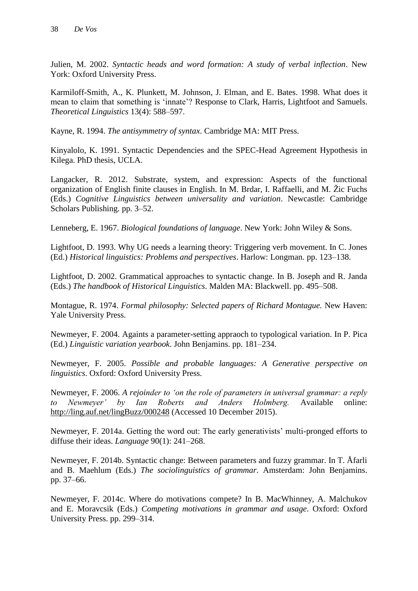Julien, M. 2002. *Syntactic heads and word formation: A study of verbal inflection*. New York: Oxford University Press.

Karmiloff-Smith, A., K. Plunkett, M. Johnson, J. Elman, and E. Bates. 1998. What does it mean to claim that something is "innate"? Response to Clark, Harris, Lightfoot and Samuels. *Theoretical Linguistics* 13(4): 588–597.

Kayne, R. 1994. *The antisymmetry of syntax*. Cambridge MA: MIT Press.

Kinyalolo, K. 1991. Syntactic Dependencies and the SPEC-Head Agreement Hypothesis in Kilega. PhD thesis, UCLA.

Langacker, R. 2012. Substrate, system, and expression: Aspects of the functional organization of English finite clauses in English. In M. Brdar, I. Raffaelli, and M. Žic Fuchs (Eds.) *Cognitive Linguistics between universality and variation*. Newcastle: Cambridge Scholars Publishing. pp. 3–52.

Lenneberg, E. 1967. *Biological foundations of language*. New York: John Wiley & Sons.

Lightfoot, D. 1993. Why UG needs a learning theory: Triggering verb movement. In C. Jones (Ed.) *Historical linguistics: Problems and perspectives*. Harlow: Longman. pp. 123–138.

Lightfoot, D. 2002. Grammatical approaches to syntactic change. In B. Joseph and R. Janda (Eds.) *The handbook of Historical Linguistics*. Malden MA: Blackwell. pp. 495–508.

Montague, R. 1974. *Formal philosophy: Selected papers of Richard Montague.* New Haven: Yale University Press.

Newmeyer, F. 2004. Againts a parameter-setting appraoch to typological variation. In P. Pica (Ed.) *Linguistic variation yearbook*. John Benjamins. pp. 181–234.

Newmeyer, F. 2005. *Possible and probable languages: A Generative perspective on linguistics*. Oxford: Oxford University Press.

Newmeyer, F. 2006. *A rejoinder to 'on the role of parameters in universal grammar: a reply to Newmeyer' by Ian Roberts and Anders Holmberg.* Available online: http://ling.auf.net/lingBuzz/000248 (Accessed 10 December 2015).

Newmeyer, F. 2014a. Getting the word out: The early generativists' multi-pronged efforts to diffuse their ideas. *Language* 90(1): 241–268.

Newmeyer, F. 2014b. Syntactic change: Between parameters and fuzzy grammar. In T. Åfarli and B. Maehlum (Eds.) *The sociolinguistics of grammar*. Amsterdam: John Benjamins. pp. 37–66.

Newmeyer, F. 2014c. Where do motivations compete? In B. MacWhinney, A. Malchukov and E. Moravcsik (Eds.) *Competing motivations in grammar and usage*. Oxford: Oxford University Press. pp. 299–314.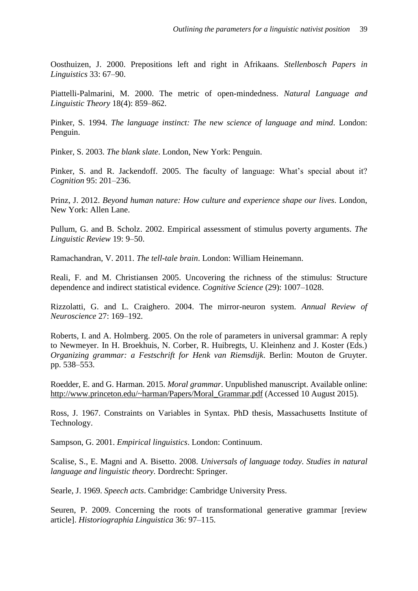Oosthuizen, J. 2000. Prepositions left and right in Afrikaans. *Stellenbosch Papers in Linguistics* 33: 67–90.

Piattelli-Palmarini, M. 2000. The metric of open-mindedness. *Natural Language and Linguistic Theory* 18(4): 859–862.

Pinker, S. 1994. *The language instinct: The new science of language and mind*. London: Penguin.

Pinker, S. 2003. *The blank slate*. London, New York: Penguin.

Pinker, S. and R. Jackendoff. 2005. The faculty of language: What's special about it? *Cognition* 95: 201–236.

Prinz, J. 2012. *Beyond human nature: How culture and experience shape our lives*. London, New York: Allen Lane.

Pullum, G. and B. Scholz. 2002. Empirical assessment of stimulus poverty arguments. *The Linguistic Review* 19: 9–50.

Ramachandran, V. 2011. *The tell-tale brain*. London: William Heinemann.

Reali, F. and M. Christiansen 2005. Uncovering the richness of the stimulus: Structure dependence and indirect statistical evidence. *Cognitive Science* (29): 1007–1028.

Rizzolatti, G. and L. Craighero. 2004. The mirror-neuron system. *Annual Review of Neuroscience* 27: 169–192.

Roberts, I. and A. Holmberg. 2005. On the role of parameters in universal grammar: A reply to Newmeyer. In H. Broekhuis, N. Corber, R. Huibregts, U. Kleinhenz and J. Koster (Eds.) *Organizing grammar: a Festschrift for Henk van Riemsdijk*. Berlin: Mouton de Gruyter. pp. 538–553.

Roedder, E. and G. Harman. 2015. *Moral grammar*. Unpublished manuscript. Available online: http://www.princeton.edu/~harman/Papers/Moral\_Grammar.pdf (Accessed 10 August 2015).

Ross, J. 1967. Constraints on Variables in Syntax. PhD thesis, Massachusetts Institute of Technology.

Sampson, G. 2001. *Empirical linguistics*. London: Continuum.

Scalise, S., E. Magni and A. Bisetto. 2008. *Universals of language today*. *Studies in natural language and linguistic theory.* Dordrecht: Springer.

Searle, J. 1969. *Speech acts*. Cambridge: Cambridge University Press.

Seuren, P. 2009. Concerning the roots of transformational generative grammar [review article]. *Historiographia Linguistica* 36: 97–115.